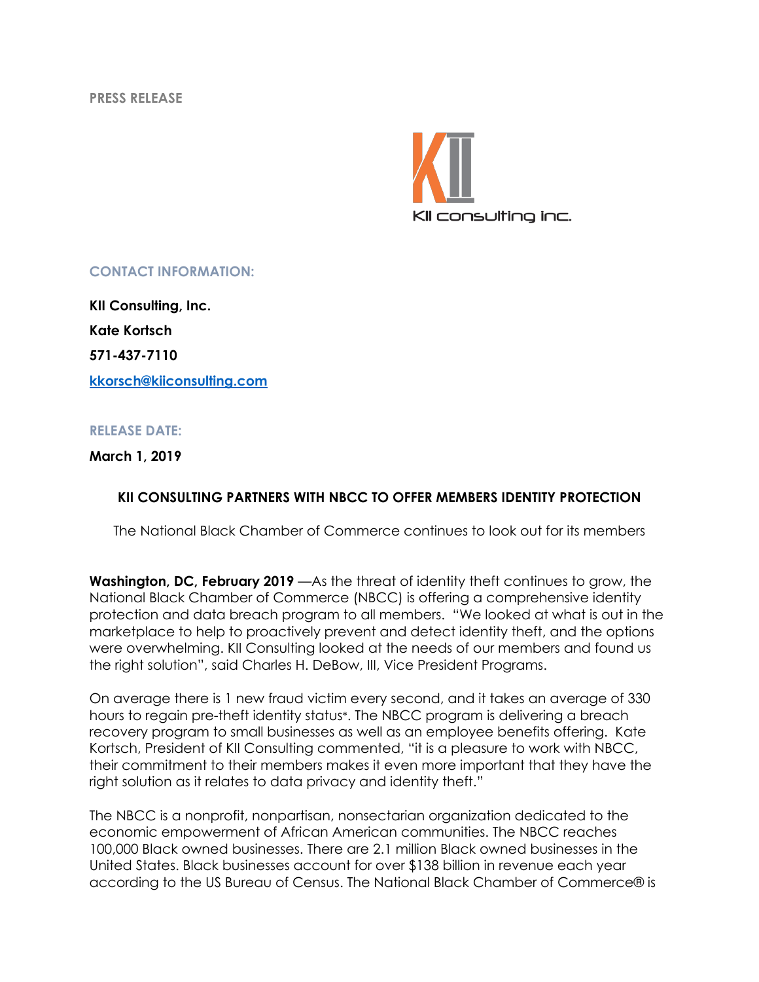**PRESS RELEASE**



## **CONTACT INFORMATION:**

**KII Consulting, Inc. Kate Kortsch 571-437-7110 kkorsch@kiiconsulting.com**

## **RELEASE DATE:**

## **March 1, 2019**

## **KII CONSULTING PARTNERS WITH NBCC TO OFFER MEMBERS IDENTITY PROTECTION**

The National Black Chamber of Commerce continues to look out for its members

**Washington, DC, February 2019** —As the threat of identity theft continues to grow, the National Black Chamber of Commerce (NBCC) is offering a comprehensive identity protection and data breach program to all members. "We looked at what is out in the marketplace to help to proactively prevent and detect identity theft, and the options were overwhelming. KII Consulting looked at the needs of our members and found us the right solution", said Charles H. DeBow, III, Vice President Programs.

On average there is 1 new fraud victim every second, and it takes an average of 330 hours to regain pre-theft identity status\*. The NBCC program is delivering a breach recovery program to small businesses as well as an employee benefits offering. Kate Kortsch, President of KII Consulting commented, "it is a pleasure to work with NBCC, their commitment to their members makes it even more important that they have the right solution as it relates to data privacy and identity theft."

The NBCC is a nonprofit, nonpartisan, nonsectarian organization dedicated to the economic empowerment of African American communities. The NBCC reaches 100,000 Black owned businesses. There are 2.1 million Black owned businesses in the United States. Black businesses account for over \$138 billion in revenue each year according to the US Bureau of Census. The National Black Chamber of Commerce® is